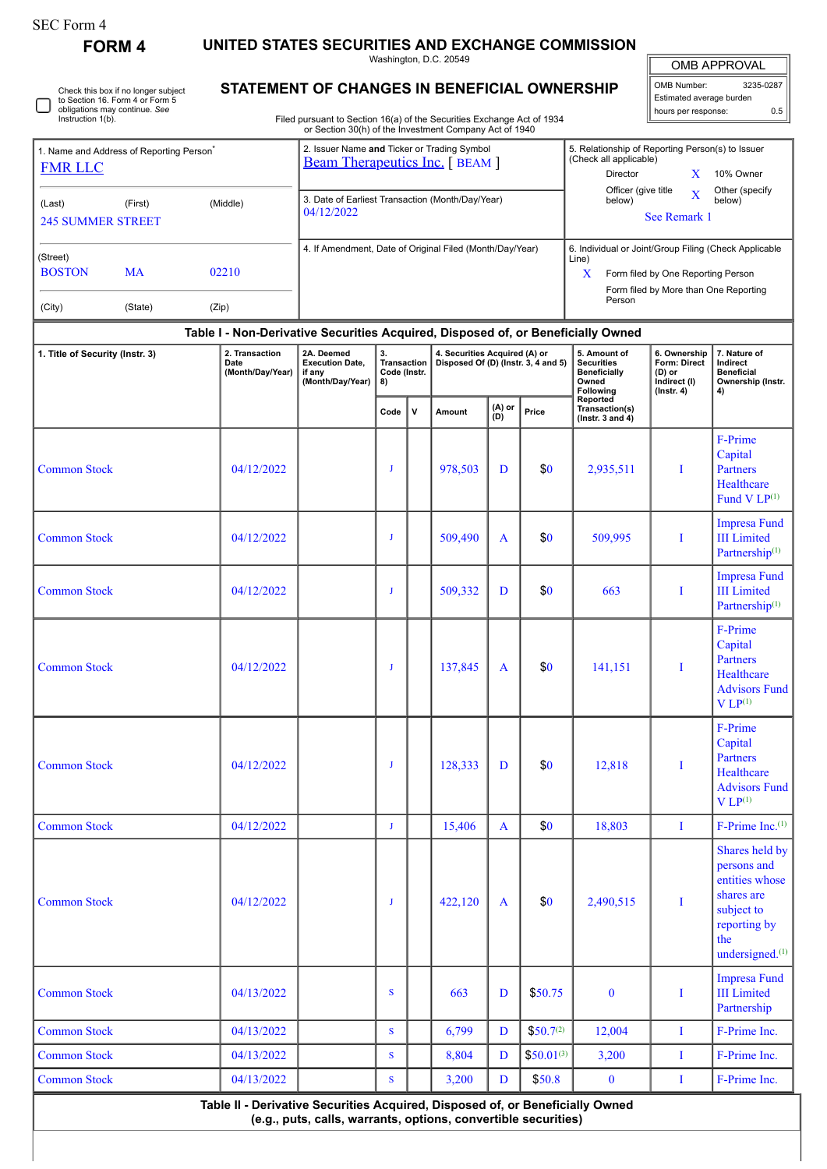| SEC Form 4 |
|------------|
|------------|

Check this box if no longer subject

**FORM 4 UNITED STATES SECURITIES AND EXCHANGE COMMISSION**

Washington, D.C. 20549 **STATEMENT OF CHANGES IN BENEFICIAL OWNERSHIP**

OMB APPROVAL

OMB Number: 3235-0287 Estimated average burden hours per response: 0.5

| to Section 16. Form 4 or Form 5<br>obligations may continue. See<br>Instruction 1(b).       |                                                                                                                                                                                                    | Filed pursuant to Section 16(a) of the Securities Exchange Act of 1934 |                                                |              |                                                                                                                                                                                                                |               |                       |                                                                                            | Estimated average burden<br>hours per response:                            | 0.5                                                                                                                               |
|---------------------------------------------------------------------------------------------|----------------------------------------------------------------------------------------------------------------------------------------------------------------------------------------------------|------------------------------------------------------------------------|------------------------------------------------|--------------|----------------------------------------------------------------------------------------------------------------------------------------------------------------------------------------------------------------|---------------|-----------------------|--------------------------------------------------------------------------------------------|----------------------------------------------------------------------------|-----------------------------------------------------------------------------------------------------------------------------------|
| 1. Name and Address of Reporting Person <sup>®</sup><br><b>FMR LLC</b><br>(First)<br>(Last) | or Section 30(h) of the Investment Company Act of 1940<br>2. Issuer Name and Ticker or Trading Symbol<br><b>Beam Therapeutics Inc.</b> [BEAM ]<br>3. Date of Earliest Transaction (Month/Day/Year) |                                                                        |                                                |              | 5. Relationship of Reporting Person(s) to Issuer<br>(Check all applicable)<br>Director<br>X<br>10% Owner<br>Officer (give title<br>Other (specify<br>$\overline{\text{X}}$<br>below)<br>below)<br>See Remark 1 |               |                       |                                                                                            |                                                                            |                                                                                                                                   |
| <b>245 SUMMER STREET</b>                                                                    | 04/12/2022                                                                                                                                                                                         |                                                                        |                                                |              |                                                                                                                                                                                                                |               |                       |                                                                                            |                                                                            |                                                                                                                                   |
| (Street)<br><b>BOSTON</b><br><b>MA</b><br>(City)<br>(State)                                 | 4. If Amendment, Date of Original Filed (Month/Day/Year)                                                                                                                                           |                                                                        |                                                |              | 6. Individual or Joint/Group Filing (Check Applicable<br>Line)<br>X<br>Form filed by One Reporting Person<br>Form filed by More than One Reporting<br>Person                                                   |               |                       |                                                                                            |                                                                            |                                                                                                                                   |
|                                                                                             | Table I - Non-Derivative Securities Acquired, Disposed of, or Beneficially Owned                                                                                                                   |                                                                        |                                                |              |                                                                                                                                                                                                                |               |                       |                                                                                            |                                                                            |                                                                                                                                   |
| 1. Title of Security (Instr. 3)                                                             | 2. Transaction<br>Date<br>(Month/Day/Year)                                                                                                                                                         | 2A. Deemed<br><b>Execution Date,</b><br>if any<br>(Month/Day/Year)     | 3.<br><b>Transaction</b><br>Code (Instr.<br>8) |              | 4. Securities Acquired (A) or<br>Disposed Of (D) (Instr. 3, 4 and 5)                                                                                                                                           |               |                       | 5. Amount of<br><b>Securities</b><br><b>Beneficially</b><br>Owned<br>Following<br>Reported | 6. Ownership<br>Form: Direct<br>(D) or<br>Indirect (I)<br>$($ Instr. 4 $)$ | 7. Nature of<br>Indirect<br><b>Beneficial</b><br>Ownership (Instr.<br>4)                                                          |
|                                                                                             |                                                                                                                                                                                                    |                                                                        | Code                                           | $\mathsf{v}$ | Amount                                                                                                                                                                                                         | (A) or<br>(D) | Price                 | Transaction(s)<br>$($ lnstr. 3 and 4 $)$                                                   |                                                                            |                                                                                                                                   |
| <b>Common Stock</b>                                                                         | 04/12/2022                                                                                                                                                                                         |                                                                        | J                                              |              | 978,503                                                                                                                                                                                                        | D             | \$0                   | 2,935,511                                                                                  | I                                                                          | F-Prime<br>Capital<br>Partners<br>Healthcare<br>Fund $V LP(1)$                                                                    |
| <b>Common Stock</b>                                                                         | 04/12/2022                                                                                                                                                                                         |                                                                        | J                                              |              | 509,490                                                                                                                                                                                                        | A             | \$0                   | 509,995                                                                                    | I                                                                          | <b>Impresa Fund</b><br><b>III</b> Limited<br>Partnership $(1)$                                                                    |
| <b>Common Stock</b>                                                                         | 04/12/2022                                                                                                                                                                                         |                                                                        | J                                              |              | 509,332                                                                                                                                                                                                        | D             | \$0                   | 663                                                                                        | I                                                                          | <b>Impresa Fund</b><br><b>III</b> Limited<br>Partnership <sup>(1)</sup>                                                           |
| <b>Common Stock</b>                                                                         | 04/12/2022                                                                                                                                                                                         |                                                                        | J                                              |              | 137,845                                                                                                                                                                                                        | A             | \$0                   | 141.151                                                                                    | T                                                                          | F-Prime<br>Capital<br><b>Partners</b><br>Healthcare<br><b>Advisors Fund</b><br>$V L P^{(1)}$                                      |
| <b>Common Stock</b>                                                                         | 04/12/2022                                                                                                                                                                                         |                                                                        | $\mathbf{J}$                                   |              | 128,333                                                                                                                                                                                                        | D             | \$0                   | 12,818                                                                                     | I                                                                          | F-Prime<br>Capital<br>Partners<br>Healthcare<br><b>Advisors Fund</b><br>$V L P^{(1)}$                                             |
| <b>Common Stock</b>                                                                         | 04/12/2022                                                                                                                                                                                         |                                                                        | $\mathbf{J}$                                   |              | 15,406                                                                                                                                                                                                         | $\mathbf{A}$  | \$0                   | 18,803                                                                                     | $\mathbf{I}$                                                               | $F-Prime Inc.(1)$                                                                                                                 |
| <b>Common Stock</b>                                                                         | 04/12/2022                                                                                                                                                                                         |                                                                        | $\mathbf{J}$                                   |              | 422,120                                                                                                                                                                                                        | A             | \$0                   | 2,490,515                                                                                  | I                                                                          | Shares held by<br>persons and<br>entities whose<br>shares are<br>subject to<br>reporting by<br>the<br>undersigned. <sup>(1)</sup> |
| <b>Common Stock</b>                                                                         | 04/13/2022                                                                                                                                                                                         |                                                                        | S                                              |              | 663                                                                                                                                                                                                            | D             | \$50.75               | $\bf{0}$                                                                                   | I                                                                          | <b>Impresa Fund</b><br><b>III</b> Limited<br>Partnership                                                                          |
| <b>Common Stock</b>                                                                         | 04/13/2022                                                                                                                                                                                         |                                                                        | S                                              |              | 6,799                                                                                                                                                                                                          | D             | \$50.7 <sup>(2)</sup> | 12,004                                                                                     | $\bf{I}$                                                                   | F-Prime Inc.                                                                                                                      |
| <b>Common Stock</b>                                                                         | 04/13/2022                                                                                                                                                                                         |                                                                        | S                                              |              | 8,804                                                                                                                                                                                                          | D             | $$50.01^{(3)}$        | 3,200                                                                                      | $\bf{I}$                                                                   | F-Prime Inc.                                                                                                                      |
| <b>Common Stock</b>                                                                         | 04/13/2022                                                                                                                                                                                         |                                                                        | S                                              |              | 3,200                                                                                                                                                                                                          | D             | \$50.8                | $\bf{0}$                                                                                   | $\bf{I}$                                                                   | F-Prime Inc.                                                                                                                      |

**(e.g., puts, calls, warrants, options, convertible securities)**